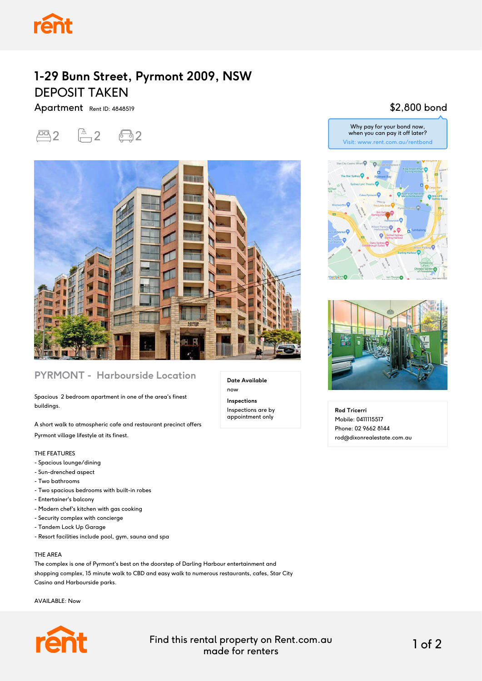

# **1-29 Bunn Street, Pyrmont 2009, NSW** DEPOSIT TAKEN

Apartment Rent ID: 4848519

四2 面2 回2



### **PYRMONT - Harbourside Location**

Spacious 2 bedroom apartment in one of the area's finest buildings.

A short walk to atmospheric cafe and restaurant precinct offers Pyrmont village lifestyle at its finest.

#### THE FEATURES

- Spacious lounge/dining
- Sun-drenched aspect
- Two bathrooms
- Two spacious bedrooms with built-in robes
- Entertainer's balcony
- Modern chef's kitchen with gas cooking
- Security complex with concierge
- Tandem Lock Up Garage
- Resort facilities include pool, gym, sauna and spa

#### THE AREA

The complex is one of Pyrmont's best on the doorstep of Darling Harbour entertainment and shopping complex, 15 minute walk to CBD and easy walk to numerous restaurants, cafes, Star City Casino and Harbourside parks.

AVAILABLE: Now



Find this rental property on Rent.com.au made for renters 1 of 2

**Date Available**

now **Inspections** Inspections are by appointment only

## \$2,800 bond

Why pay for your bond now, when you can pay it off later? Visit: www.rent.com.au/rentbond





**Rod Tricerri** Mobile: 0411115517 Phone: 02 9662 8144 rod@dixonrealestate.com.au